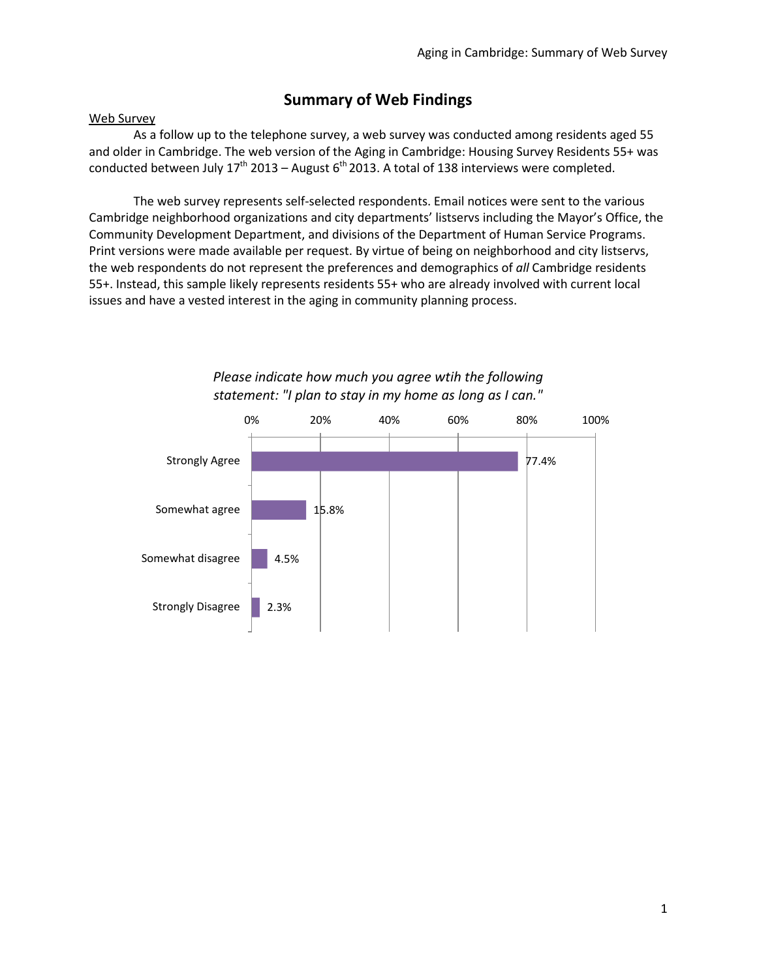# **Summary of Web Findings**

### Web Survey

As a follow up to the telephone survey, a web survey was conducted among residents aged 55 and older in Cambridge. The web version of the Aging in Cambridge: Housing Survey Residents 55+ was conducted between July  $17^{th}$  2013 – August  $6^{th}$  2013. A total of 138 interviews were completed.

The web survey represents self-selected respondents. Email notices were sent to the various Cambridge neighborhood organizations and city departments' listservs including the Mayor's Office, the Community Development Department, and divisions of the Department of Human Service Programs. Print versions were made available per request. By virtue of being on neighborhood and city listservs, the web respondents do not represent the preferences and demographics of *all* Cambridge residents 55+. Instead, this sample likely represents residents 55+ who are already involved with current local issues and have a vested interest in the aging in community planning process.



## *Please indicate how much you agree wtih the following statement: "I plan to stay in my home as long as I can."*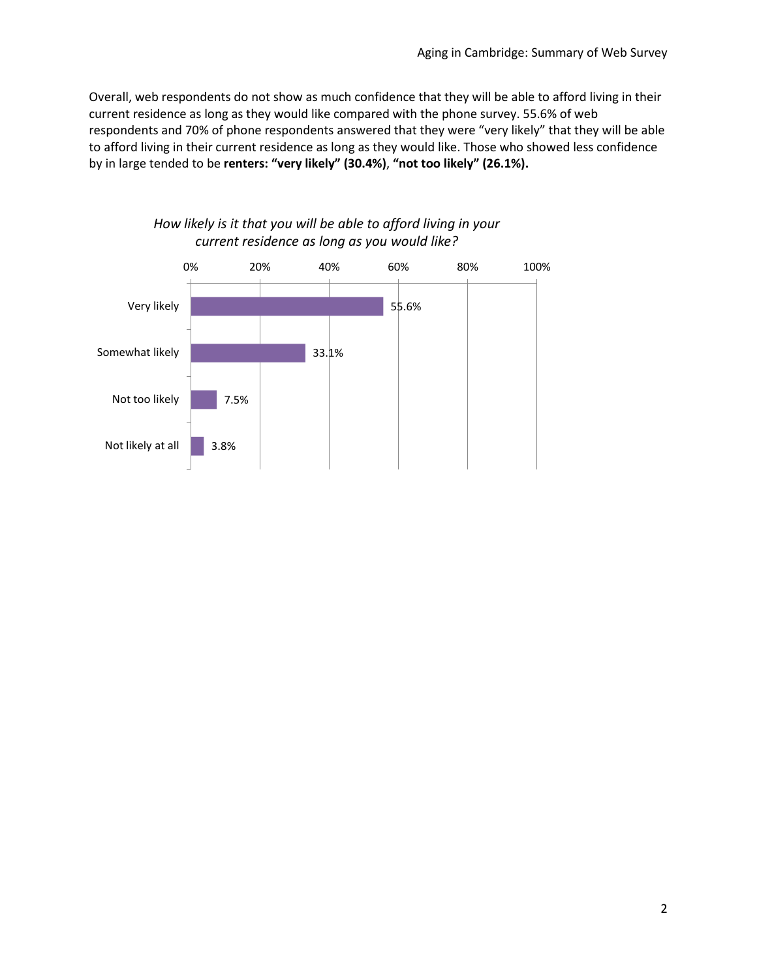Overall, web respondents do not show as much confidence that they will be able to afford living in their current residence as long as they would like compared with the phone survey. 55.6% of web respondents and 70% of phone respondents answered that they were "very likely" that they will be able to afford living in their current residence as long as they would like. Those who showed less confidence by in large tended to be **renters: "very likely" (30.4%)**, **"not too likely" (26.1%).**



# *How likely is it that you will be able to afford living in your current residence as long as you would like?*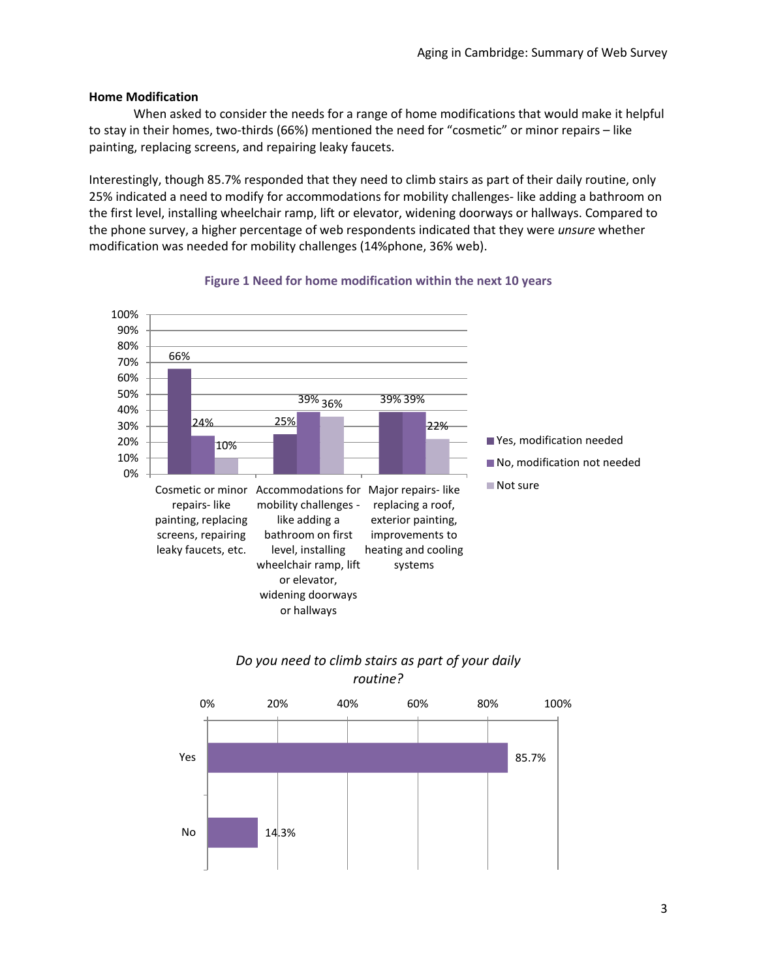#### **Home Modification**

When asked to consider the needs for a range of home modifications that would make it helpful to stay in their homes, two-thirds (66%) mentioned the need for "cosmetic" or minor repairs – like painting, replacing screens, and repairing leaky faucets.

Interestingly, though 85.7% responded that they need to climb stairs as part of their daily routine, only 25% indicated a need to modify for accommodations for mobility challenges- like adding a bathroom on the first level, installing wheelchair ramp, lift or elevator, widening doorways or hallways. Compared to the phone survey, a higher percentage of web respondents indicated that they were *unsure* whether modification was needed for mobility challenges (14%phone, 36% web).



#### **Figure 1 Need for home modification within the next 10 years**



# *Do you need to climb stairs as part of your daily routine?*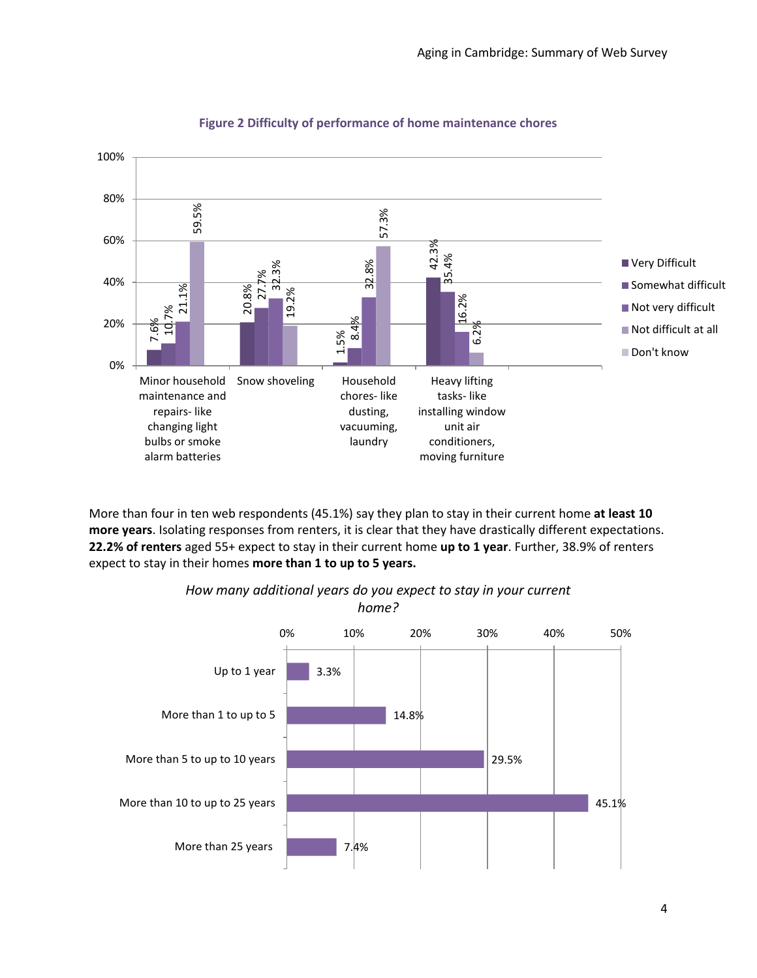

## **Figure 2 Difficulty of performance of home maintenance chores**

More than four in ten web respondents (45.1%) say they plan to stay in their current home **at least 10 more years**. Isolating responses from renters, it is clear that they have drastically different expectations. **22.2% of renters** aged 55+ expect to stay in their current home **up to 1 year**. Further, 38.9% of renters



*How many additional years do you expect to stay in your current*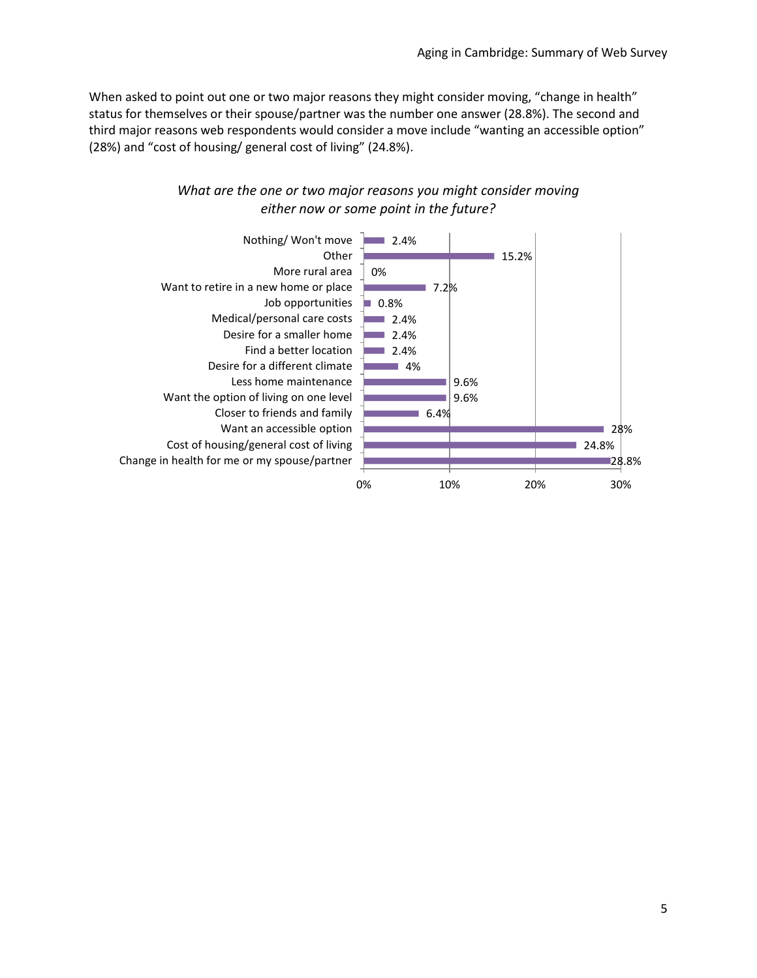When asked to point out one or two major reasons they might consider moving, "change in health" status for themselves or their spouse/partner was the number one answer (28.8%). The second and third major reasons web respondents would consider a move include "wanting an accessible option" (28%) and "cost of housing/ general cost of living" (24.8%).



# *What are the one or two major reasons you might consider moving either now or some point in the future?*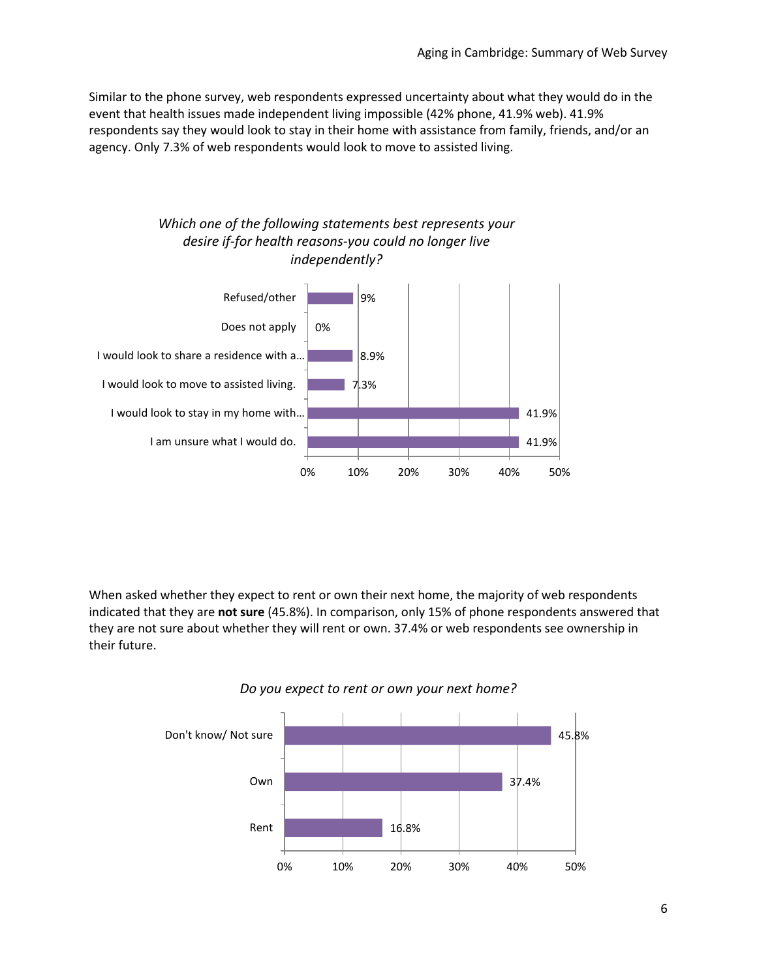Similar to the phone survey, web respondents expressed uncertainty about what they would do in the event that health issues made independent living impossible (42% phone, 41.9% web). 41.9% respondents say they would look to stay in their home with assistance from family, friends, and/or an agency. Only 7.3% of web respondents would look to move to assisted living.



When asked whether they expect to rent or own their next home, the majority of web respondents indicated that they are **not sure** (45.8%). In comparison, only 15% of phone respondents answered that they are not sure about whether they will rent or own. 37.4% or web respondents see ownership in their future.



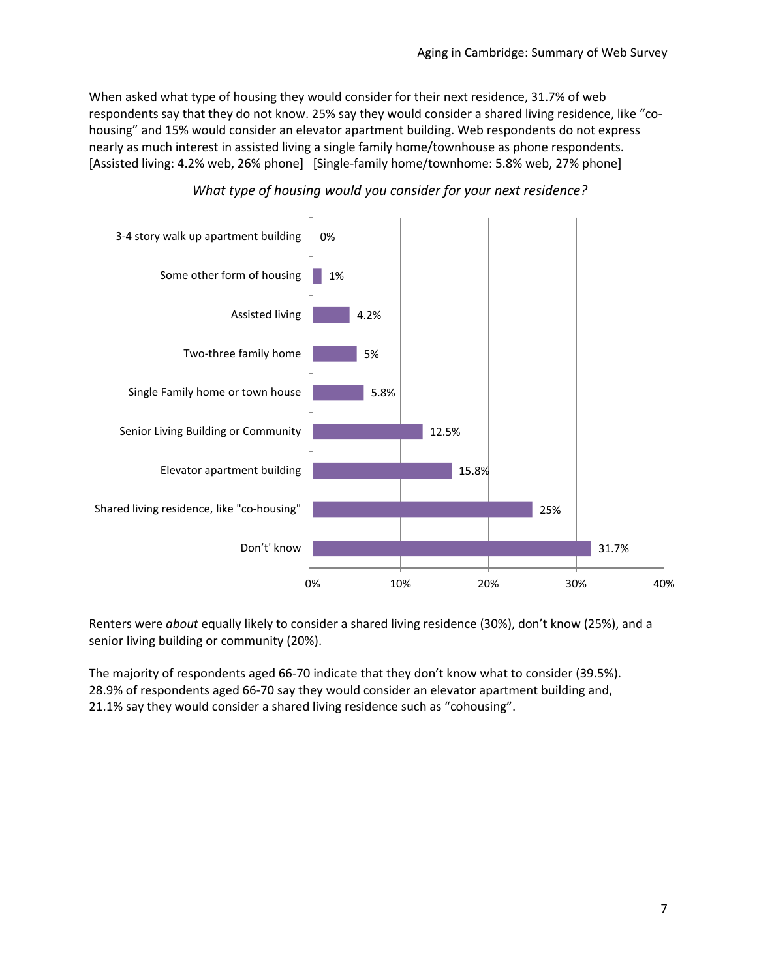When asked what type of housing they would consider for their next residence, 31.7% of web respondents say that they do not know. 25% say they would consider a shared living residence, like "cohousing" and 15% would consider an elevator apartment building. Web respondents do not express nearly as much interest in assisted living a single family home/townhouse as phone respondents. [Assisted living: 4.2% web, 26% phone] [Single-family home/townhome: 5.8% web, 27% phone]



## *What type of housing would you consider for your next residence?*

Renters were *about* equally likely to consider a shared living residence (30%), don't know (25%), and a senior living building or community (20%).

The majority of respondents aged 66-70 indicate that they don't know what to consider (39.5%). 28.9% of respondents aged 66-70 say they would consider an elevator apartment building and, 21.1% say they would consider a shared living residence such as "cohousing".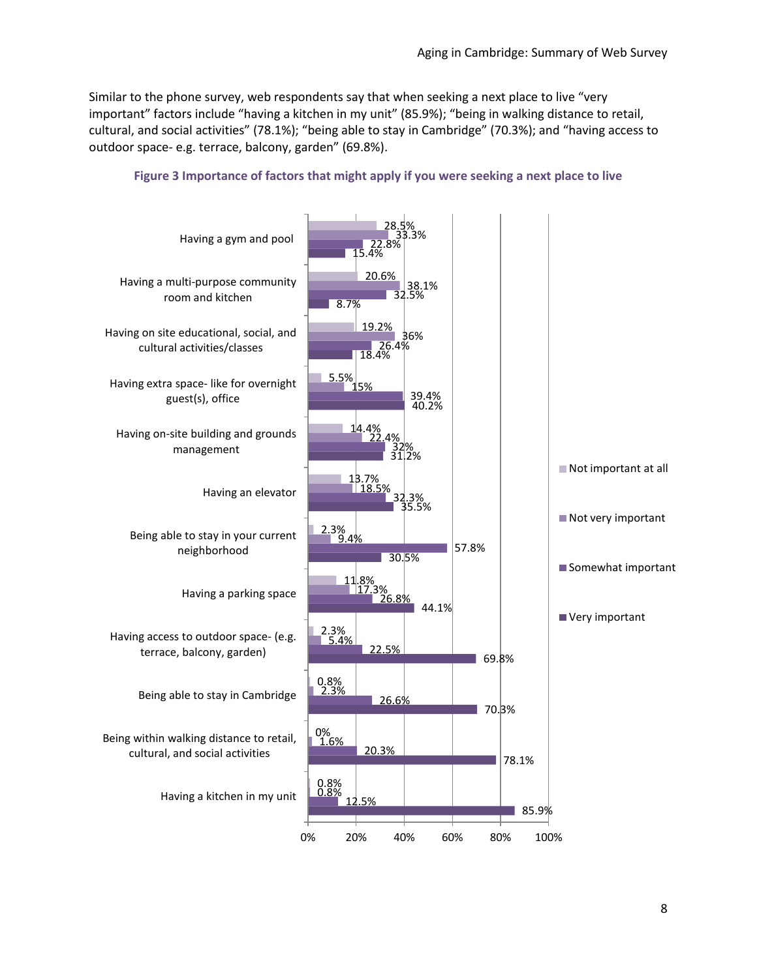Similar to the phone survey, web respondents say that when seeking a next place to live "very important" factors include "having a kitchen in my unit" (85.9%); "being in walking distance to retail, cultural, and social activities" (78.1%); "being able to stay in Cambridge" (70.3%); and "having access to outdoor space- e.g. terrace, balcony, garden" (69.8%).



#### **Figure 3 Importance of factors that might apply if you were seeking a next place to live**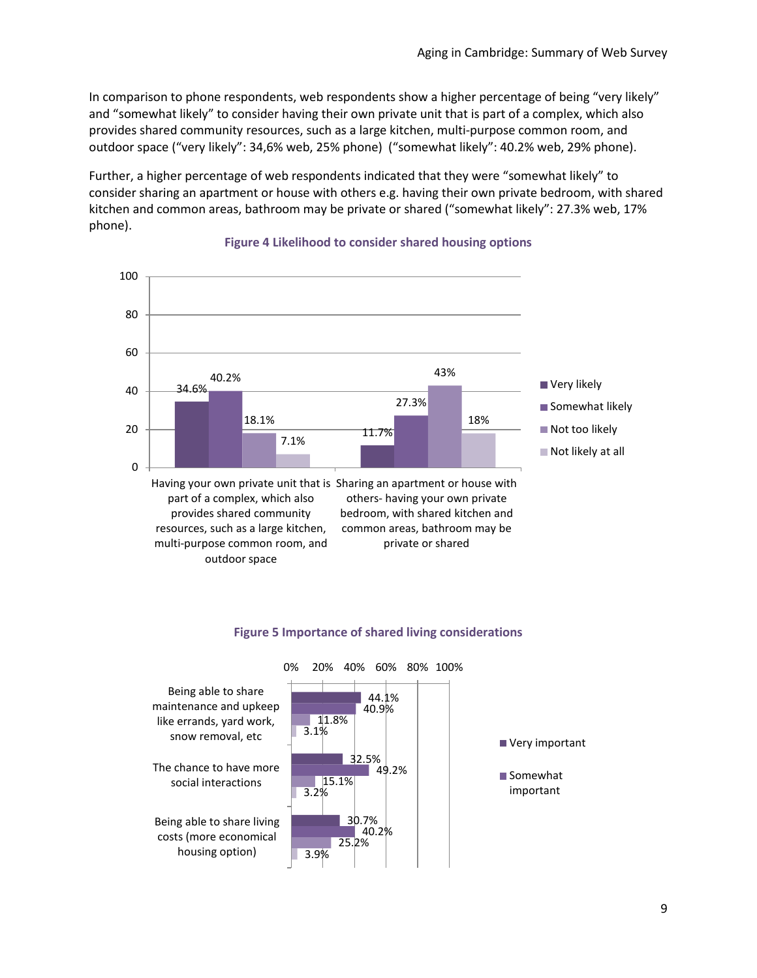In comparison to phone respondents, web respondents show a higher percentage of being "very likely" and "somewhat likely" to consider having their own private unit that is part of a complex, which also provides shared community resources, such as a large kitchen, multi-purpose common room, and outdoor space ("very likely": 34,6% web, 25% phone) ("somewhat likely": 40.2% web, 29% phone).

Further, a higher percentage of web respondents indicated that they were "somewhat likely" to consider sharing an apartment or house with others e.g. having their own private bedroom, with shared kitchen and common areas, bathroom may be private or shared ("somewhat likely": 27.3% web, 17% phone).



## **Figure 4 Likelihood to consider shared housing options**

#### **Figure 5 Importance of shared living considerations**

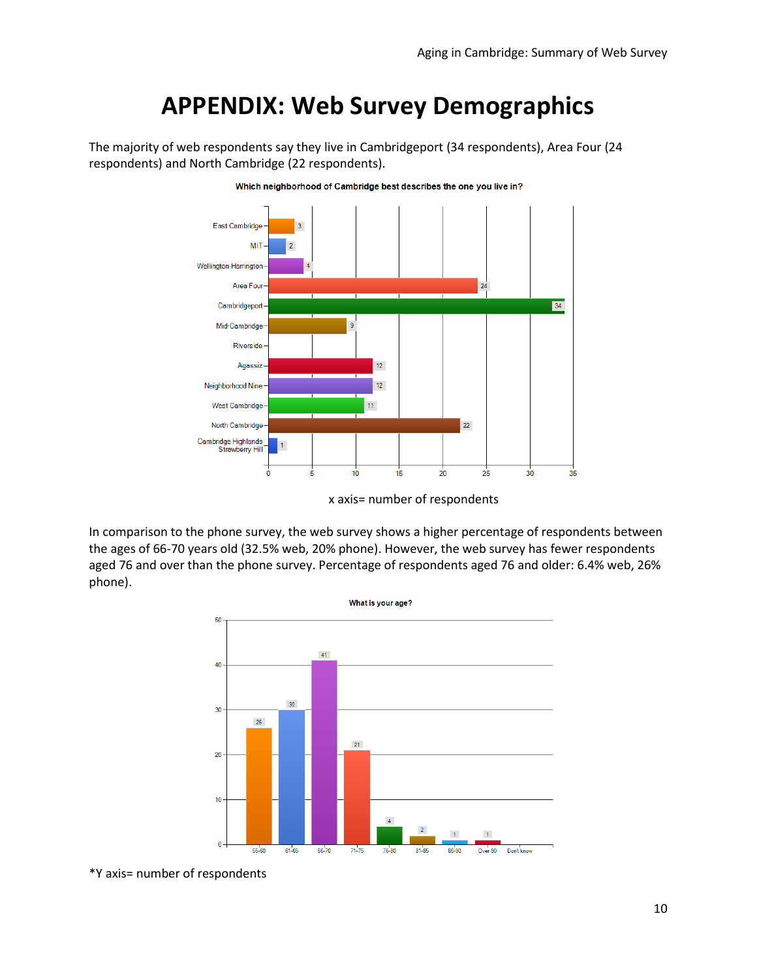# **APPENDIX: Web Survey Demographics**

The majority of web respondents say they live in Cambridgeport (34 respondents), Area Four (24 respondents) and North Cambridge (22 respondents).





In comparison to the phone survey, the web survey shows a higher percentage of respondents between the ages of 66-70 years old (32.5% web, 20% phone). However, the web survey has fewer respondents aged 76 and over than the phone survey. Percentage of respondents aged 76 and older: 6.4% web, 26% phone).



<sup>\*</sup>Y axis= number of respondents

x axis= number of respondents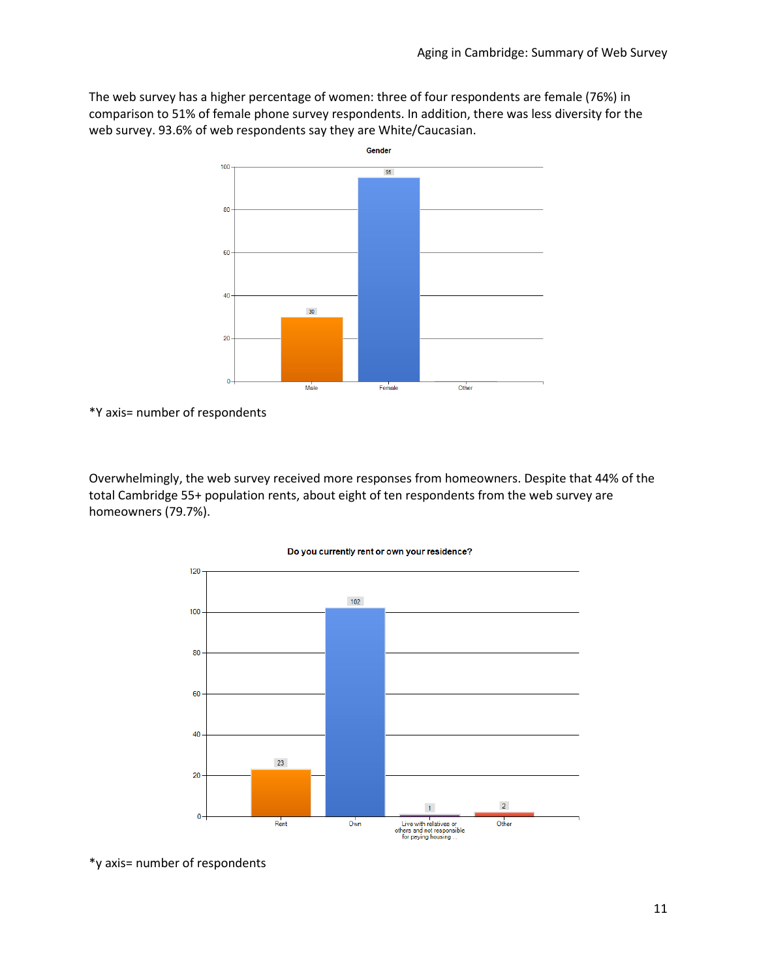The web survey has a higher percentage of women: three of four respondents are female (76%) in comparison to 51% of female phone survey respondents. In addition, there was less diversity for the web survey. 93.6% of web respondents say they are White/Caucasian.



\*Y axis= number of respondents

Overwhelmingly, the web survey received more responses from homeowners. Despite that 44% of the total Cambridge 55+ population rents, about eight of ten respondents from the web survey are homeowners (79.7%).



Do you currently rent or own your residence?

\*y axis= number of respondents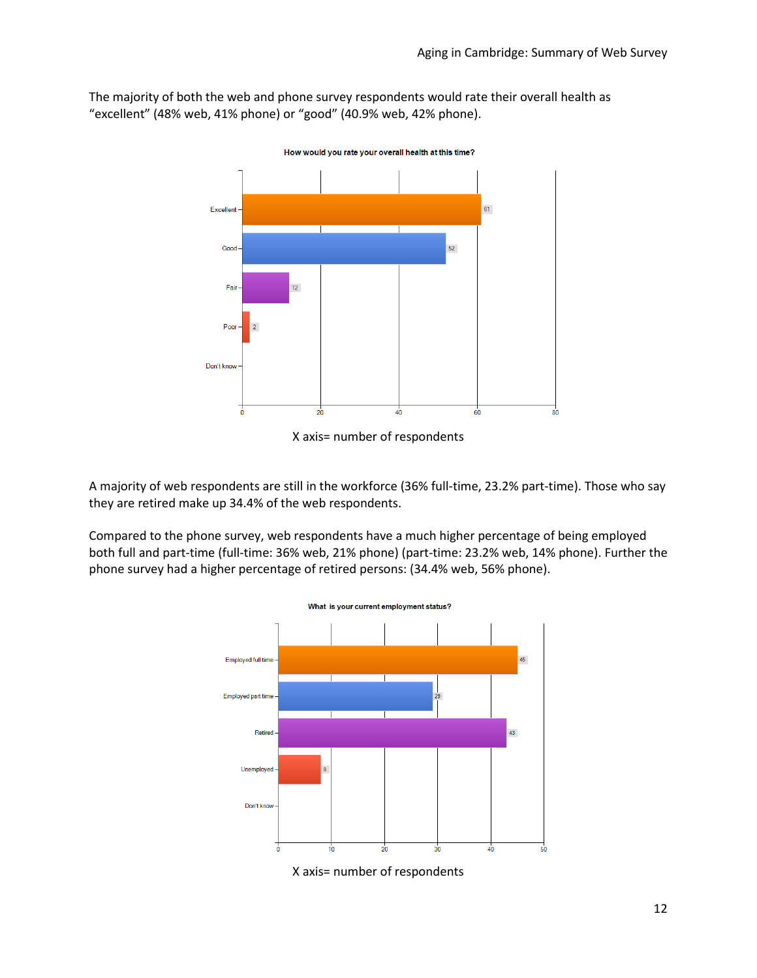The majority of both the web and phone survey respondents would rate their overall health as "excellent" (48% web, 41% phone) or "good" (40.9% web, 42% phone).



X axis= number of respondents

A majority of web respondents are still in the workforce (36% full-time, 23.2% part-time). Those who say they are retired make up 34.4% of the web respondents.

Compared to the phone survey, web respondents have a much higher percentage of being employed both full and part-time (full-time: 36% web, 21% phone) (part-time: 23.2% web, 14% phone). Further the phone survey had a higher percentage of retired persons: (34.4% web, 56% phone).



X axis= number of respondents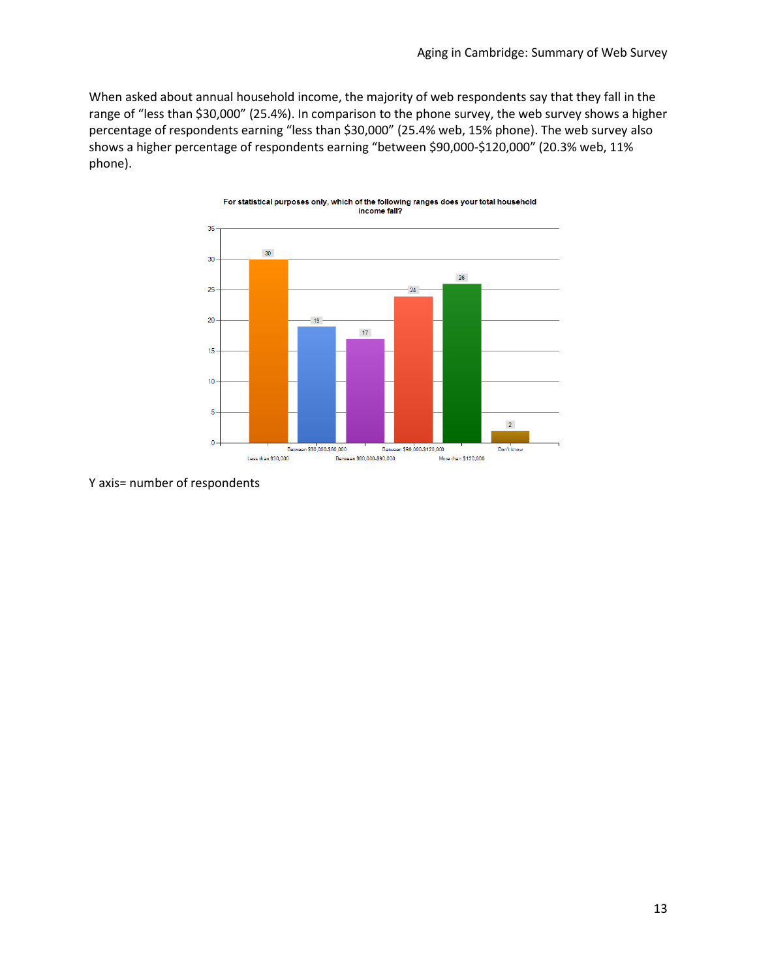When asked about annual household income, the majority of web respondents say that they fall in the range of "less than \$30,000" (25.4%). In comparison to the phone survey, the web survey shows a higher percentage of respondents earning "less than \$30,000" (25.4% web, 15% phone). The web survey also shows a higher percentage of respondents earning "between \$90,000-\$120,000" (20.3% web, 11% phone).



For statistical purposes only, which of the following ranges does your total household

Y axis= number of respondents